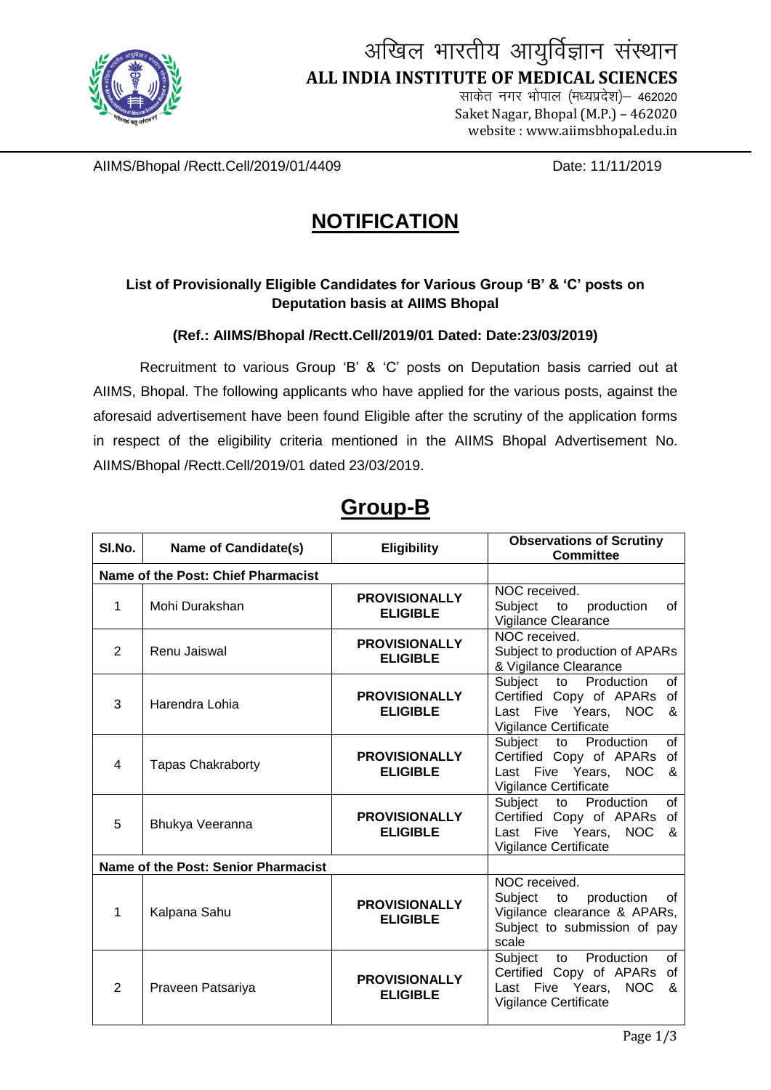

# अखिल भारतीय आयुर्विज्ञान संस्थान  **ALL INDIA INSTITUTE OF MEDICAL SCIENCES**

साकेत नगर भोपाल (मध्यप्रदेश) - 462020 Saket Nagar, Bhopal (M.P.) – <sup>462020</sup> website : www.aiimsbhopal.edu.in

AIIMS/Bhopal /Rectt.Cell/2019/01/4409 Date: 11/11/2019

## **NOTIFICATION**

#### **List of Provisionally Eligible Candidates for Various Group 'B' & 'C' posts on Deputation basis at AIIMS Bhopal**

**(Ref.: AIIMS/Bhopal /Rectt.Cell/2019/01 Dated: Date:23/03/2019)**

Recruitment to various Group 'B' & 'C' posts on Deputation basis carried out at AIIMS, Bhopal. The following applicants who have applied for the various posts, against the aforesaid advertisement have been found Eligible after the scrutiny of the application forms in respect of the eligibility criteria mentioned in the AIIMS Bhopal Advertisement No. AIIMS/Bhopal /Rectt.Cell/2019/01 dated 23/03/2019.

| SI.No.                             | Name of Candidate(s)                | <b>Eligibility</b>                      | <b>Observations of Scrutiny</b><br><b>Committee</b>                                                                                |
|------------------------------------|-------------------------------------|-----------------------------------------|------------------------------------------------------------------------------------------------------------------------------------|
| Name of the Post: Chief Pharmacist |                                     |                                         |                                                                                                                                    |
| $\mathbf{1}$                       | Mohi Durakshan                      | <b>PROVISIONALLY</b><br><b>ELIGIBLE</b> | NOC received.<br>Subject<br>production<br>to<br>οf<br>Vigilance Clearance                                                          |
| $\overline{2}$                     | Renu Jaiswal                        | <b>PROVISIONALLY</b><br><b>ELIGIBLE</b> | NOC received.<br>Subject to production of APARs<br>& Vigilance Clearance                                                           |
| 3                                  | Harendra Lohia                      | <b>PROVISIONALLY</b><br><b>ELIGIBLE</b> | Subject<br>to Production<br>of<br>Certified Copy of APARs of<br>Last Five Years,<br><b>NOC</b><br>&<br>Vigilance Certificate       |
| $\overline{4}$                     | <b>Tapas Chakraborty</b>            | <b>PROVISIONALLY</b><br><b>ELIGIBLE</b> | Subject<br>to Production<br>of<br>Certified Copy of APARs<br>0f<br><b>NOC</b><br>Last<br>Five Years,<br>&<br>Vigilance Certificate |
| 5                                  | Bhukya Veeranna                     | <b>PROVISIONALLY</b><br><b>ELIGIBLE</b> | Production<br>Subject<br>of<br>to<br>Certified Copy of APARs of<br>Last Five Years,<br><b>NOC</b><br>&<br>Vigilance Certificate    |
|                                    | Name of the Post: Senior Pharmacist |                                         |                                                                                                                                    |
| 1                                  | Kalpana Sahu                        | <b>PROVISIONALLY</b><br><b>ELIGIBLE</b> | NOC received.<br>Subject<br>to<br>production<br>οf<br>Vigilance clearance & APARs,<br>Subject to submission of pay<br>scale        |
| 2                                  | Praveen Patsariya                   | <b>PROVISIONALLY</b><br><b>ELIGIBLE</b> | Production<br>of<br>Subject<br>to<br>Certified Copy of APARs of<br>Last Five Years,<br>NOC<br>&<br>Vigilance Certificate           |

### **Group-B**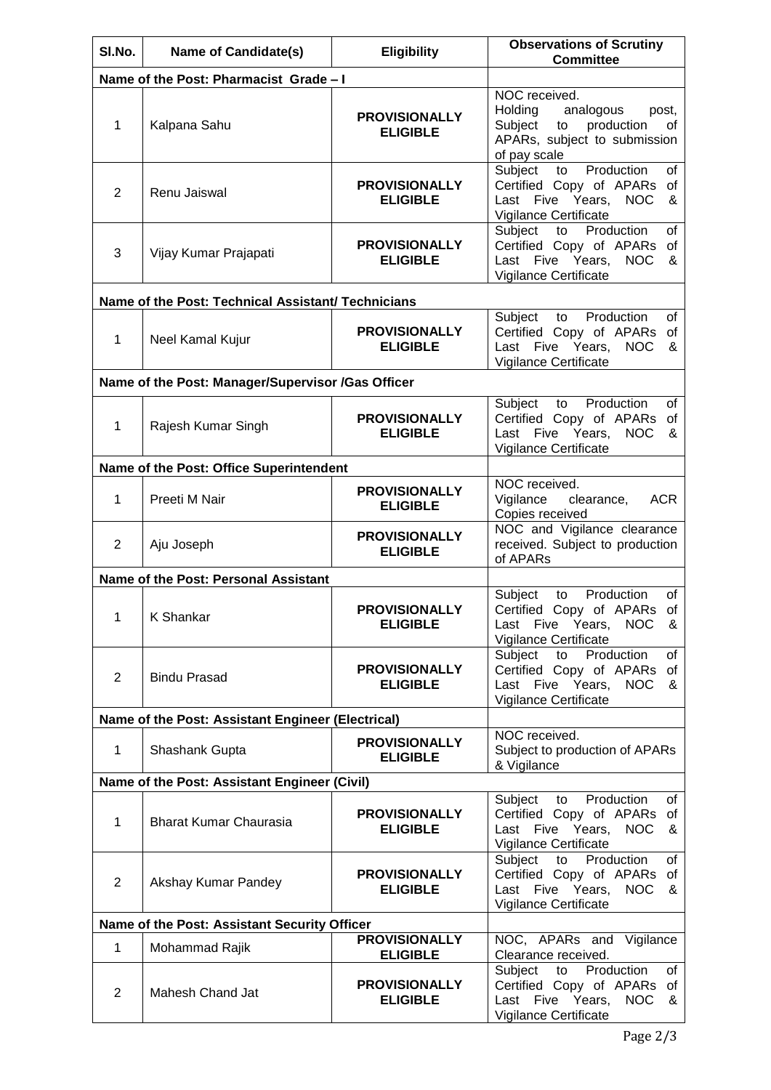| SI.No.                                       | <b>Name of Candidate(s)</b>                        | <b>Eligibility</b>                                         | <b>Observations of Scrutiny</b><br><b>Committee</b>                                                                                |  |  |
|----------------------------------------------|----------------------------------------------------|------------------------------------------------------------|------------------------------------------------------------------------------------------------------------------------------------|--|--|
|                                              | Name of the Post: Pharmacist Grade - I             |                                                            |                                                                                                                                    |  |  |
| $\mathbf{1}$                                 | Kalpana Sahu                                       | <b>PROVISIONALLY</b><br><b>ELIGIBLE</b>                    | NOC received.<br>Holding<br>analogous<br>post,<br>Subject to production<br>οf<br>APARs, subject to submission<br>of pay scale      |  |  |
| 2                                            | Renu Jaiswal                                       | <b>PROVISIONALLY</b><br><b>ELIGIBLE</b>                    | Subject<br>Production<br>of<br>to<br>Certified Copy of APARs<br>of<br>Last Five Years,<br><b>NOC</b><br>&<br>Vigilance Certificate |  |  |
| $\mathbf{3}$                                 | Vijay Kumar Prajapati                              | <b>PROVISIONALLY</b><br><b>ELIGIBLE</b>                    | Subject<br>Production<br>of<br>to<br>Certified Copy of APARs<br>0f<br>Last Five Years,<br><b>NOC</b><br>&<br>Vigilance Certificate |  |  |
|                                              | Name of the Post: Technical Assistant/ Technicians |                                                            |                                                                                                                                    |  |  |
| $\mathbf{1}$                                 | Neel Kamal Kujur                                   | <b>PROVISIONALLY</b><br><b>ELIGIBLE</b>                    | Subject to<br>Production<br>οf<br>Certified Copy of APARs<br>of<br>Last Five Years,<br><b>NOC</b><br>&<br>Vigilance Certificate    |  |  |
|                                              | Name of the Post: Manager/Supervisor /Gas Officer  |                                                            |                                                                                                                                    |  |  |
| 1                                            | Rajesh Kumar Singh                                 | <b>PROVISIONALLY</b><br><b>ELIGIBLE</b>                    | Production<br>Subject<br>to<br>οf<br>Certified Copy of APARs<br>οf<br>Last Five Years,<br><b>NOC</b><br>&<br>Vigilance Certificate |  |  |
|                                              | Name of the Post: Office Superintendent            |                                                            |                                                                                                                                    |  |  |
| 1                                            | Preeti M Nair                                      | <b>PROVISIONALLY</b><br><b>ELIGIBLE</b>                    | NOC received.<br>Vigilance<br>clearance,<br><b>ACR</b><br>Copies received                                                          |  |  |
| 2                                            | Aju Joseph                                         | <b>PROVISIONALLY</b><br><b>ELIGIBLE</b>                    | NOC and Vigilance clearance<br>received. Subject to production<br>of APARs                                                         |  |  |
|                                              | Name of the Post: Personal Assistant               |                                                            |                                                                                                                                    |  |  |
| 1.                                           | K Shankar                                          | <b>PROVISIONALLY</b><br><b>ELIGIBLE</b>                    | Production<br>Subject<br>to<br>of<br>Certified Copy of APARs of<br>Last Five Years, NOC<br>&<br>Vigilance Certificate              |  |  |
| $\overline{2}$                               | <b>Bindu Prasad</b>                                | <b>PROVISIONALLY</b><br><b>ELIGIBLE</b>                    | Production<br>Subject<br>to<br>of<br>Certified Copy of APARs of<br>Last Five Years,<br><b>NOC</b><br>&<br>Vigilance Certificate    |  |  |
|                                              | Name of the Post: Assistant Engineer (Electrical)  |                                                            |                                                                                                                                    |  |  |
| $\mathbf{1}$                                 | Shashank Gupta                                     | <b>PROVISIONALLY</b><br><b>ELIGIBLE</b>                    | NOC received.<br>Subject to production of APARs<br>& Vigilance                                                                     |  |  |
| Name of the Post: Assistant Engineer (Civil) |                                                    |                                                            |                                                                                                                                    |  |  |
| 1                                            | <b>Bharat Kumar Chaurasia</b>                      | <b>PROVISIONALLY</b><br><b>ELIGIBLE</b>                    | Production<br>Subject<br>to<br>of<br>Certified Copy of APARs of<br>Last Five Years,<br><b>NOC</b><br>&<br>Vigilance Certificate    |  |  |
| 2                                            | Akshay Kumar Pandey                                | <b>PROVISIONALLY</b><br><b>ELIGIBLE</b>                    | Production<br>Subject to<br>of<br>Certified Copy of APARs of<br>Last Five Years,<br><b>NOC</b><br>&<br>Vigilance Certificate       |  |  |
| Name of the Post: Assistant Security Officer |                                                    |                                                            |                                                                                                                                    |  |  |
| 1                                            | Mohammad Rajik                                     | <b>PROVISIONALLY</b>                                       | NOC, APARs and Vigilance<br>Clearance received.                                                                                    |  |  |
| 2                                            | Mahesh Chand Jat                                   | <b>ELIGIBLE</b><br><b>PROVISIONALLY</b><br><b>ELIGIBLE</b> | Production<br>Subject<br>to<br>of<br>Certified Copy of APARs of<br>Last Five Years,<br><b>NOC</b><br>&<br>Vigilance Certificate    |  |  |